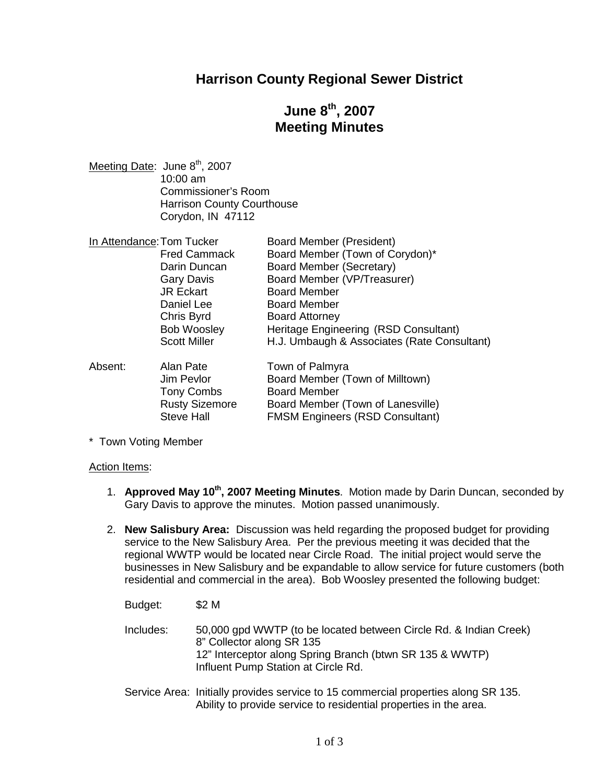### **Harrison County Regional Sewer District**

# **June 8th , 2007 Meeting Minutes**

Meeting Date: June 8<sup>th</sup>, 2007 10:00 am Commissioner's Room Harrison County Courthouse Corydon, IN 47112

| In Attendance: Tom Tucker |                         | <b>Board Member (President)</b>                    |
|---------------------------|-------------------------|----------------------------------------------------|
|                           | <b>Fred Cammack</b>     | Board Member (Town of Corydon)*                    |
|                           | Darin Duncan            | Board Member (Secretary)                           |
|                           | <b>Gary Davis</b>       | Board Member (VP/Treasurer)                        |
|                           | <b>JR Eckart</b>        | <b>Board Member</b>                                |
|                           | Daniel Lee              | <b>Board Member</b>                                |
|                           | Chris Byrd              | <b>Board Attorney</b>                              |
|                           | <b>Bob Woosley</b>      | Heritage Engineering (RSD Consultant)              |
|                           | <b>Scott Miller</b>     | H.J. Umbaugh & Associates (Rate Consultant)        |
| Absent:                   | Alan Pate<br>Jim Pevlor | Town of Palmyra<br>Board Member (Town of Milltown) |
|                           |                         |                                                    |

| Absent: | Alan Pate             | Town of Palmyra                        |
|---------|-----------------------|----------------------------------------|
|         | Jim Pevlor            | Board Member (Town of Milltown)        |
|         | <b>Tony Combs</b>     | <b>Board Member</b>                    |
|         | <b>Rusty Sizemore</b> | Board Member (Town of Lanesville)      |
|         | Steve Hall            | <b>FMSM Engineers (RSD Consultant)</b> |
|         |                       |                                        |

\* Town Voting Member

#### Action Items:

- 1. **Approved May 10th , 2007 Meeting Minutes**. Motion made by Darin Duncan, seconded by Gary Davis to approve the minutes. Motion passed unanimously.
- 2. **New Salisbury Area:** Discussion was held regarding the proposed budget for providing service to the New Salisbury Area. Per the previous meeting it was decided that the regional WWTP would be located near Circle Road. The initial project would serve the businesses in New Salisbury and be expandable to allow service for future customers (both residential and commercial in the area). Bob Woosley presented the following budget:

Budget: \$2 M

- Includes: 50,000 gpd WWTP (to be located between Circle Rd. & Indian Creek) 8" Collector along SR 135 12" Interceptor along Spring Branch (btwn SR 135 & WWTP) Influent Pump Station at Circle Rd.
- Service Area: Initially provides service to 15 commercial properties along SR 135. Ability to provide service to residential properties in the area.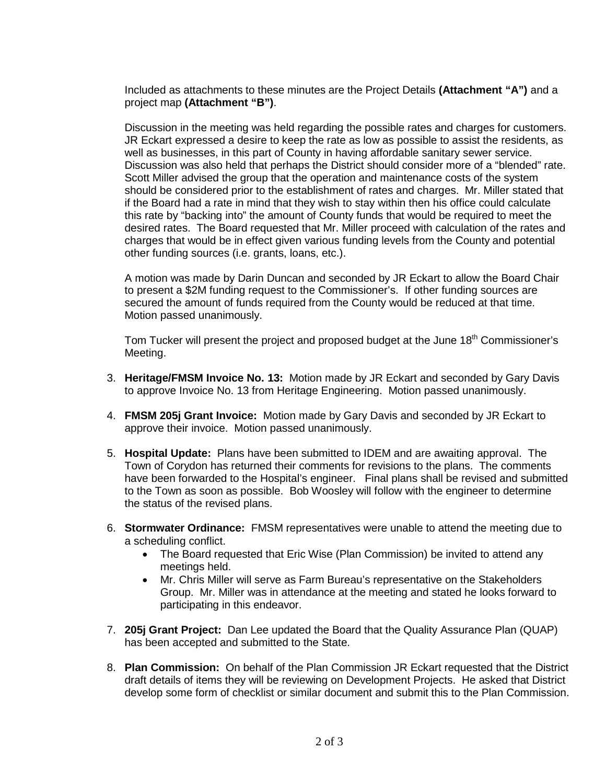Included as attachments to these minutes are the Project Details **(Attachment "A")** and a project map **(Attachment "B")**.

Discussion in the meeting was held regarding the possible rates and charges for customers. JR Eckart expressed a desire to keep the rate as low as possible to assist the residents, as well as businesses, in this part of County in having affordable sanitary sewer service. Discussion was also held that perhaps the District should consider more of a "blended" rate. Scott Miller advised the group that the operation and maintenance costs of the system should be considered prior to the establishment of rates and charges. Mr. Miller stated that if the Board had a rate in mind that they wish to stay within then his office could calculate this rate by "backing into" the amount of County funds that would be required to meet the desired rates. The Board requested that Mr. Miller proceed with calculation of the rates and charges that would be in effect given various funding levels from the County and potential other funding sources (i.e. grants, loans, etc.).

A motion was made by Darin Duncan and seconded by JR Eckart to allow the Board Chair to present a \$2M funding request to the Commissioner's. If other funding sources are secured the amount of funds required from the County would be reduced at that time. Motion passed unanimously.

Tom Tucker will present the project and proposed budget at the June 18<sup>th</sup> Commissioner's Meeting.

- 3. **Heritage/FMSM Invoice No. 13:** Motion made by JR Eckart and seconded by Gary Davis to approve Invoice No. 13 from Heritage Engineering. Motion passed unanimously.
- 4. **FMSM 205j Grant Invoice:** Motion made by Gary Davis and seconded by JR Eckart to approve their invoice. Motion passed unanimously.
- 5. **Hospital Update:** Plans have been submitted to IDEM and are awaiting approval. The Town of Corydon has returned their comments for revisions to the plans. The comments have been forwarded to the Hospital's engineer. Final plans shall be revised and submitted to the Town as soon as possible. Bob Woosley will follow with the engineer to determine the status of the revised plans.
- 6. **Stormwater Ordinance:** FMSM representatives were unable to attend the meeting due to a scheduling conflict.
	- The Board requested that Eric Wise (Plan Commission) be invited to attend any meetings held.
	- Mr. Chris Miller will serve as Farm Bureau's representative on the Stakeholders Group. Mr. Miller was in attendance at the meeting and stated he looks forward to participating in this endeavor.
- 7. **205j Grant Project:** Dan Lee updated the Board that the Quality Assurance Plan (QUAP) has been accepted and submitted to the State.
- 8. **Plan Commission:** On behalf of the Plan Commission JR Eckart requested that the District draft details of items they will be reviewing on Development Projects. He asked that District develop some form of checklist or similar document and submit this to the Plan Commission.